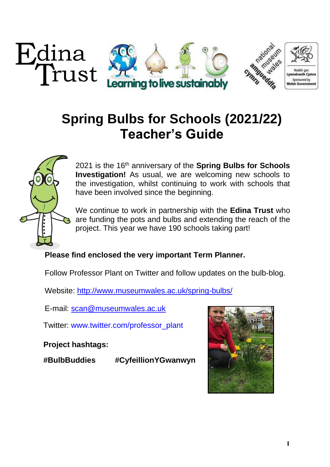

# **Spring Bulbs for Schools (2021/22) Teacher's Guide**



2021 is the 16 th anniversary of the **Spring Bulbs for Schools Investigation!** As usual, we are welcoming new schools to the investigation, whilst continuing to work with schools that have been involved since the beginning.

We continue to work in partnership with the **Edina Trust** who are funding the pots and bulbs and extending the reach of the project. This year we have 190 schools taking part!

### **Please find enclosed the very important Term Planner.**

Follow Professor Plant on Twitter and follow updates on the bulb-blog.

Website:<http://www.museumwales.ac.uk/spring-bulbs/>

E-mail: [scan@museumwales.ac.uk](mailto:scan@museumwales.ac.uk)

Twitter: [www.twitter.com/professor\\_plant](http://www.twitter.com/professor_plant)

**Project hashtags:**

**#BulbBuddies #CyfeillionYGwanwyn**

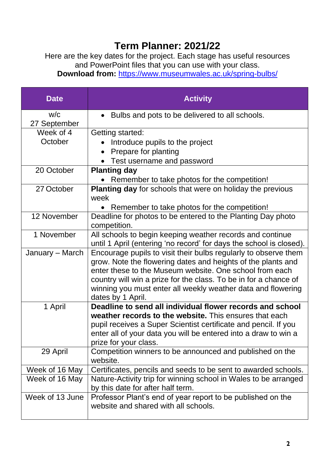## **Term Planner: 2021/22**

Here are the key dates for the project. Each stage has useful resources and PowerPoint files that you can use with your class.

**Download from:** <https://www.museumwales.ac.uk/spring-bulbs/>

| <b>Date</b>         | <b>Activity</b>                                                                                                                                                                                                                                                                                                                                     |
|---------------------|-----------------------------------------------------------------------------------------------------------------------------------------------------------------------------------------------------------------------------------------------------------------------------------------------------------------------------------------------------|
| W/C<br>27 September | Bulbs and pots to be delivered to all schools.                                                                                                                                                                                                                                                                                                      |
| Week of 4           | Getting started:                                                                                                                                                                                                                                                                                                                                    |
| October             | Introduce pupils to the project                                                                                                                                                                                                                                                                                                                     |
|                     | Prepare for planting                                                                                                                                                                                                                                                                                                                                |
|                     | Test username and password                                                                                                                                                                                                                                                                                                                          |
| 20 October          | <b>Planting day</b>                                                                                                                                                                                                                                                                                                                                 |
|                     | Remember to take photos for the competition!                                                                                                                                                                                                                                                                                                        |
| 27 October          | <b>Planting day</b> for schools that were on holiday the previous<br>week                                                                                                                                                                                                                                                                           |
|                     | Remember to take photos for the competition!                                                                                                                                                                                                                                                                                                        |
| 12 November         | Deadline for photos to be entered to the Planting Day photo<br>competition.                                                                                                                                                                                                                                                                         |
| 1 November          | All schools to begin keeping weather records and continue<br>until 1 April (entering 'no record' for days the school is closed).                                                                                                                                                                                                                    |
| January – March     | Encourage pupils to visit their bulbs regularly to observe them<br>grow. Note the flowering dates and heights of the plants and<br>enter these to the Museum website. One school from each<br>country will win a prize for the class. To be in for a chance of<br>winning you must enter all weekly weather data and flowering<br>dates by 1 April. |
| 1 April             | Deadline to send all individual flower records and school                                                                                                                                                                                                                                                                                           |
|                     | weather records to the website. This ensures that each                                                                                                                                                                                                                                                                                              |
|                     | pupil receives a Super Scientist certificate and pencil. If you                                                                                                                                                                                                                                                                                     |
|                     | enter all of your data you will be entered into a draw to win a<br>prize for your class.                                                                                                                                                                                                                                                            |
| 29 April            | Competition winners to be announced and published on the<br>website.                                                                                                                                                                                                                                                                                |
| Week of 16 May      | Certificates, pencils and seeds to be sent to awarded schools.                                                                                                                                                                                                                                                                                      |
| Week of 16 May      | Nature-Activity trip for winning school in Wales to be arranged<br>by this date for after half term.                                                                                                                                                                                                                                                |
| Week of 13 June     | Professor Plant's end of year report to be published on the<br>website and shared with all schools.                                                                                                                                                                                                                                                 |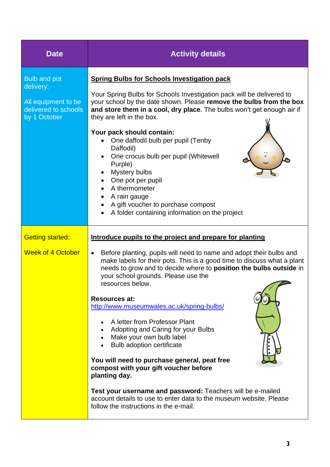| <b>Date</b>                                                                                     | <b>Activity details</b>                                                                                                                                                                                                                                                                                                                                                                                                                                                                                                                                                                                                                                                                                                                                                                                                                                                |
|-------------------------------------------------------------------------------------------------|------------------------------------------------------------------------------------------------------------------------------------------------------------------------------------------------------------------------------------------------------------------------------------------------------------------------------------------------------------------------------------------------------------------------------------------------------------------------------------------------------------------------------------------------------------------------------------------------------------------------------------------------------------------------------------------------------------------------------------------------------------------------------------------------------------------------------------------------------------------------|
| <b>Bulb and pot</b><br>delivery:<br>All equipment to be<br>delivered to schools<br>by 1 October | <b>Spring Bulbs for Schools Investigation pack</b><br>Your Spring Bulbs for Schools Investigation pack will be delivered to<br>your school by the date shown. Please remove the bulbs from the box<br>and store them in a cool, dry place. The bulbs won't get enough air if<br>they are left in the box.<br>Your pack should contain:<br>One daffodil bulb per pupil (Tenby<br>Daffodil)<br>One crocus bulb per pupil (Whitewell<br>$\bullet$<br>Purple)<br>Mystery bulbs<br>One pot per pupil<br>A thermometer<br>A rain gauge<br>$\bullet$<br>A gift voucher to purchase compost<br>A folder containing information on the project<br>$\bullet$                                                                                                                                                                                                                     |
| <b>Getting started:</b><br><b>Week of 4 October</b>                                             | Introduce pupils to the project and prepare for planting<br>Before planting, pupils will need to name and adopt their bulbs and<br>$\bullet$<br>make labels for their pots. This is a good time to discuss what a plant<br>needs to grow and to decide where to position the bulbs outside in<br>your school grounds. Please use the<br>resources below.<br><b>Resources at:</b><br>http://www.museumwales.ac.uk/spring-bulbs/<br>A letter from Professor Plant<br>Adopting and Caring for your Bulbs<br>• Make your own bulb label<br><b>Bulb adoption certificate</b><br>You will need to purchase general, peat free<br>compost with your gift voucher before<br>planting day.<br><b>Test your username and password:</b> Teachers will be e-mailed<br>account details to use to enter data to the museum website. Please<br>follow the instructions in the e-mail. |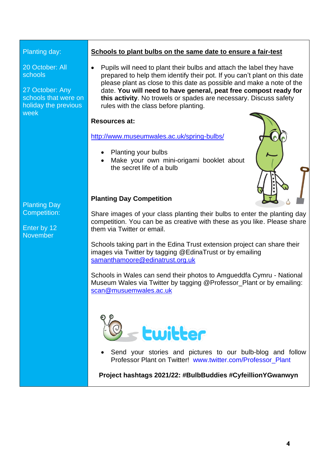#### Planting day:

20 October: All schools

27 October: Any schools that were on holiday the previous week

Planting Day Competition:

Enter by 12 November

#### **Schools to plant bulbs on the same date to ensure a fair-test**

• Pupils will need to plant their bulbs and attach the label they have prepared to help them identify their pot. If you can't plant on this date please plant as close to this date as possible and make a note of the date. **You will need to have general, peat free compost ready for this activity**. No trowels or spades are necessary. Discuss safety rules with the class before planting.

#### **Resources at:**

#### <http://www.museumwales.ac.uk/spring-bulbs/>

- Planting your bulbs
- Make your own mini-origami booklet about the secret life of a bulb



#### **Planting Day Competition**

Share images of your class planting their bulbs to enter the planting day competition. You can be as creative with these as you like. Please share them via Twitter or email.

Schools taking part in the Edina Trust extension project can share their images via Twitter by tagging @EdinaTrust or by emailing [samanthamoore@edinatrust.org.uk](mailto:samanthamoore@edinatrust.org.uk)

Schools in Wales can send their photos to Amgueddfa Cymru - National Museum Wales via Twitter by tagging @Professor\_Plant or by emailing: [scan@musuemwales.ac.uk](mailto:scan@musuemwales.ac.uk)



Send your stories and pictures to our bulb-blog and follow Professor Plant on Twitter! [www.twitter.com/Professor\\_Plant](http://www.twitter.com/Professor_Plant)

**Project hashtags 2021/22: #BulbBuddies #CyfeillionYGwanwyn**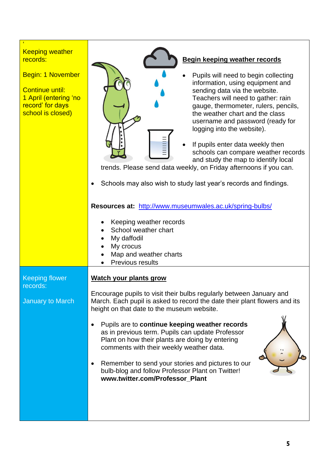| <b>Keeping weather</b><br>records:<br><b>Begin: 1 November</b><br><b>Continue until:</b><br>1 April (entering 'no<br>record' for days<br>school is closed) | <b>Begin keeping weather records</b><br>Pupils will need to begin collecting<br>information, using equipment and<br>sending data via the website.<br>Teachers will need to gather: rain<br>gauge, thermometer, rulers, pencils,<br>the weather chart and the class<br>username and password (ready for<br>logging into the website).<br>If pupils enter data weekly then<br>schools can compare weather records<br>and study the map to identify local<br>trends. Please send data weekly, on Friday afternoons if you can.<br>Schools may also wish to study last year's records and findings.<br>Resources at: http://www.museumwales.ac.uk/spring-bulbs/<br>Keeping weather records<br>School weather chart<br>My daffodil<br>$\bullet$<br>My crocus<br>Map and weather charts |
|------------------------------------------------------------------------------------------------------------------------------------------------------------|-----------------------------------------------------------------------------------------------------------------------------------------------------------------------------------------------------------------------------------------------------------------------------------------------------------------------------------------------------------------------------------------------------------------------------------------------------------------------------------------------------------------------------------------------------------------------------------------------------------------------------------------------------------------------------------------------------------------------------------------------------------------------------------|
|                                                                                                                                                            | Previous results                                                                                                                                                                                                                                                                                                                                                                                                                                                                                                                                                                                                                                                                                                                                                                  |
| <b>Keeping flower</b><br>records:                                                                                                                          | <b>Watch your plants grow</b>                                                                                                                                                                                                                                                                                                                                                                                                                                                                                                                                                                                                                                                                                                                                                     |
| January to March                                                                                                                                           | Encourage pupils to visit their bulbs regularly between January and<br>March. Each pupil is asked to record the date their plant flowers and its<br>height on that date to the museum website.                                                                                                                                                                                                                                                                                                                                                                                                                                                                                                                                                                                    |
|                                                                                                                                                            | Pupils are to continue keeping weather records<br>as in previous term. Pupils can update Professor<br>Plant on how their plants are doing by entering<br>comments with their weekly weather data.<br>Remember to send your stories and pictures to our<br>bulb-blog and follow Professor Plant on Twitter!<br>www.twitter.com/Professor_Plant                                                                                                                                                                                                                                                                                                                                                                                                                                     |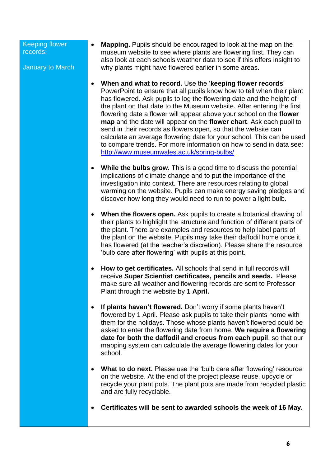| <b>Keeping flower</b><br>records:<br><b>January to March</b> | <b>Mapping.</b> Pupils should be encouraged to look at the map on the<br>$\bullet$<br>museum website to see where plants are flowering first. They can<br>also look at each schools weather data to see if this offers insight to<br>why plants might have flowered earlier in some areas.                                                                                                                                                                                                                                                                                                                                                                                                                       |
|--------------------------------------------------------------|------------------------------------------------------------------------------------------------------------------------------------------------------------------------------------------------------------------------------------------------------------------------------------------------------------------------------------------------------------------------------------------------------------------------------------------------------------------------------------------------------------------------------------------------------------------------------------------------------------------------------------------------------------------------------------------------------------------|
|                                                              | When and what to record. Use the 'keeping flower records'<br>$\bullet$<br>PowerPoint to ensure that all pupils know how to tell when their plant<br>has flowered. Ask pupils to log the flowering date and the height of<br>the plant on that date to the Museum website. After entering the first<br>flowering date a flower will appear above your school on the flower<br>map and the date will appear on the flower chart. Ask each pupil to<br>send in their records as flowers open, so that the website can<br>calculate an average flowering date for your school. This can be used<br>to compare trends. For more information on how to send in data see:<br>http://www.museumwales.ac.uk/spring-bulbs/ |
|                                                              | While the bulbs grow. This is a good time to discuss the potential<br>$\bullet$<br>implications of climate change and to put the importance of the<br>investigation into context. There are resources relating to global<br>warming on the website. Pupils can make energy saving pledges and<br>discover how long they would need to run to power a light bulb.                                                                                                                                                                                                                                                                                                                                                 |
|                                                              | When the flowers open. Ask pupils to create a botanical drawing of<br>$\bullet$<br>their plants to highlight the structure and function of different parts of<br>the plant. There are examples and resources to help label parts of<br>the plant on the website. Pupils may take their daffodil home once it<br>has flowered (at the teacher's discretion). Please share the resource<br>'bulb care after flowering' with pupils at this point.                                                                                                                                                                                                                                                                  |
|                                                              | How to get certificates. All schools that send in full records will<br>٠<br>receive Super Scientist certificates, pencils and seeds. Please<br>make sure all weather and flowering records are sent to Professor<br>Plant through the website by 1 April.                                                                                                                                                                                                                                                                                                                                                                                                                                                        |
|                                                              | If plants haven't flowered. Don't worry if some plants haven't<br>$\bullet$<br>flowered by 1 April. Please ask pupils to take their plants home with<br>them for the holidays. Those whose plants haven't flowered could be<br>asked to enter the flowering date from home. We require a flowering<br>date for both the daffodil and crocus from each pupil, so that our<br>mapping system can calculate the average flowering dates for your<br>school.                                                                                                                                                                                                                                                         |
|                                                              | What to do next. Please use the 'bulb care after flowering' resource<br>on the website. At the end of the project please reuse, upcycle or<br>recycle your plant pots. The plant pots are made from recycled plastic<br>and are fully recyclable.                                                                                                                                                                                                                                                                                                                                                                                                                                                                |
|                                                              | Certificates will be sent to awarded schools the week of 16 May.                                                                                                                                                                                                                                                                                                                                                                                                                                                                                                                                                                                                                                                 |